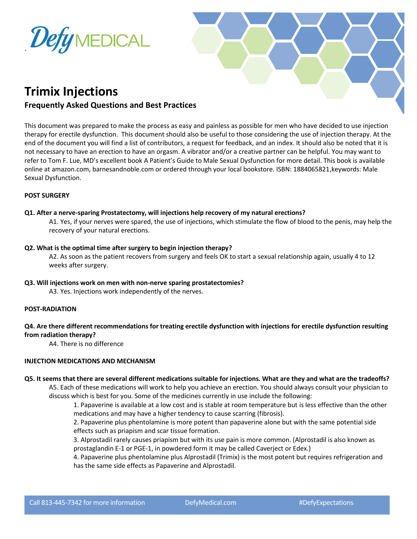



# **Trimix Injections**

# **Frequently Asked Questions and Best Practices**

This document was prepared to make the process as easy and painless as possible for men who have decided to use injection therapy for erectile dysfunction. This document should also be useful to those considering the use of injection therapy. At the end of the document you will find a list of contributors, a request for feedback, and an index. It should also be noted that it is not necessary to have an erection to have an orgasm. A vibrator and/or a creative partner can be helpful. You may want to refer to Tom F. Lue, MD's excellent book A Patient's Guide to Male Sexual Dysfunction for more detail. This book is available online at amazon.com, barnesandnoble.com or ordered through your local bookstore. ISBN: 1884065821,keywords: Male Sexual Dysfunction.

# **POST SURGERY**

## **Q1. After a nerve-sparing Prostatectomy, will injections help recovery of my natural erections?**

A1. Yes, if your nerves were spared, the use of injections, which stimulate the flow of blood to the penis, may help the recovery of your natural erections.

**Q2. What is the optimal time after surgery to begin injection therapy?**

A2. As soon as the patient recovers from surgery and feels OK to start a sexual relationship again, usually 4 to 12 weeks after surgery.

**Q3. Will injections work on men with non-nerve sparing prostatectomies?**

A3. Yes. Injections work independently of the nerves.

## **POST-RADIATION**

# **Q4. Are there different recommendations for treating erectile dysfunction with injections for erectile dysfunction resulting from radiation therapy?**

A4. There is no difference

# **INJECTION MEDICATIONS AND MECHANISM**

# **Q5. It seems that there are several different medications suitable for injections. What are they and what are the tradeoffs?**

A5. Each of these medications will work to help you achieve an erection. You should always consult your physician to discuss which is best for you. Some of the medicines currently in use include the following:

1. Papaverine is available at a low cost and is stable at room temperature but is less effective than the other medications and may have a higher tendency to cause scarring (fibrosis).

2. Papaverine plus phentolamine is more potent than papaverine alone but with the same potential side effects such as priapism and scar tissue formation.

3. Alprostadil rarely causes priapism but with its use pain is more common. (Alprostadil is also known as prostaglandin E-1 or PGE-1, in powdered form it may be called Caverject or Edex.)

4. Papaverine plus phentolamine plus Alprostadil (Trimix) is the most potent but requires refrigeration and has the same side effects as Papaverine and Alprostadil.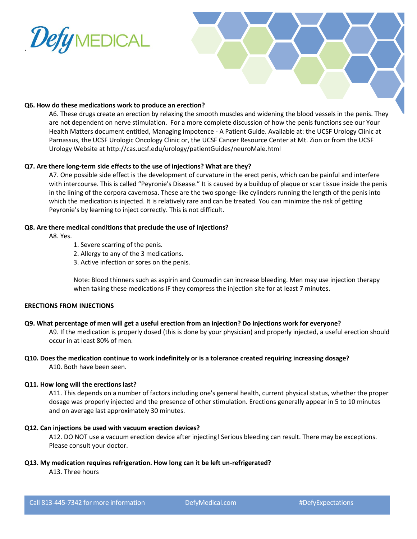



## **Q6. How do these medications work to produce an erection?**

A6. These drugs create an erection by relaxing the smooth muscles and widening the blood vessels in the penis. They are not dependent on nerve stimulation. For a more complete discussion of how the penis functions see our Your Health Matters document entitled, Managing Impotence - A Patient Guide. Available at: the UCSF Urology Clinic at Parnassus, the UCSF Urologic Oncology Clinic or, the UCSF Cancer Resource Center at Mt. Zion or from the UCSF Urology Website at http://cas.ucsf.edu/urology/patientGuides/neuroMale.html

#### **Q7. Are there long-term side effects to the use of injections? What are they?**

A7. One possible side effect is the development of curvature in the erect penis, which can be painful and interfere with intercourse. This is called "Peyronie's Disease." It is caused by a buildup of plaque or scar tissue inside the penis in the lining of the corpora cavernosa. These are the two sponge-like cylinders running the length of the penis into which the medication is injected. It is relatively rare and can be treated. You can minimize the risk of getting Peyronie's by learning to inject correctly. This is not difficult.

#### **Q8. Are there medical conditions that preclude the use of injections?**

A8. Yes.

- 1. Severe scarring of the penis.
- 2. Allergy to any of the 3 medications.
- 3. Active infection or sores on the penis.

Note: Blood thinners such as aspirin and Coumadin can increase bleeding. Men may use injection therapy when taking these medications IF they compress the injection site for at least 7 minutes.

#### **ERECTIONS FROM INJECTIONS**

## **Q9. What percentage of men will get a useful erection from an injection? Do injections work for everyone?**

A9. If the medication is properly dosed (this is done by your physician) and properly injected, a useful erection should occur in at least 80% of men.

# **Q10. Does the medication continue to work indefinitely or is a tolerance created requiring increasing dosage?**

A10. Both have been seen.

## **Q11. How long will the erections last?**

A11. This depends on a number of factors including one's general health, current physical status, whether the proper dosage was properly injected and the presence of other stimulation. Erections generally appear in 5 to 10 minutes and on average last approximately 30 minutes.

## **Q12. Can injections be used with vacuum erection devices?**

A12. DO NOT use a vacuum erection device after injecting! Serious bleeding can result. There may be exceptions. Please consult your doctor.

## **Q13. My medication requires refrigeration. How long can it be left un-refrigerated?**

A13. Three hours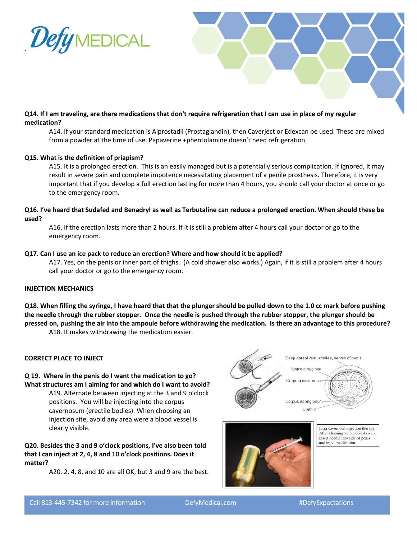



# **Q14. If I am traveling, are there medications that don't require refrigeration that I can use in place of my regular medication?**

A14. If your standard medication is Alprostadil (Prostaglandin), then Caverject or Edexcan be used. These are mixed from a powder at the time of use. Papaverine +phentolamine doesn't need refrigeration.

## **Q15. What is the definition of priapism?**

A15. It is a prolonged erection. This is an easily managed but is a potentially serious complication. If ignored, it may result in severe pain and complete impotence necessitating placement of a penile prosthesis. Therefore, it is very important that if you develop a full erection lasting for more than 4 hours, you should call your doctor at once or go to the emergency room.

# **Q16. I've heard that Sudafed and Benadryl as well as Terbutaline can reduce a prolonged erection. When should these be used?**

A16. If the erection lasts more than 2 hours. If it is still a problem after 4 hours call your doctor or go to the emergency room.

#### **Q17. Can I use an ice pack to reduce an erection? Where and how should it be applied?**

A17. Yes, on the penis or inner part of thighs. (A cold shower also works.) Again, if it is still a problem after 4 hours call your doctor or go to the emergency room.

## **INJECTION MECHANICS**

**Q18. When filling the syringe, I have heard that that the plunger should be pulled down to the 1.0 cc mark before pushing the needle through the rubber stopper. Once the needle is pushed through the rubber stopper, the plunger should be pressed on, pushing the air into the ampoule before withdrawing the medication. Is there an advantage to this procedure?**

A18. It makes withdrawing the medication easier.

## **CORRECT PLACE TO INJECT**

#### **Q 19. Where in the penis do I want the medication to go? What structures am I aiming for and which do I want to avoid?**

A19. Alternate between injecting at the 3 and 9 o'clock positions. You will be injecting into the corpus cavernosum (erectile bodies). When choosing an injection site, avoid any area were a blood vessel is clearly visible.

**Q20. Besides the 3 and 9 o'clock positions, I've also been told that I can inject at 2, 4, 8 and 10 o'clock positions. Does it matter?**

A20. 2, 4, 8, and 10 are all OK, but 3 and 9 are the best.





Intra-cavernous injection therapy. After cleaning with alcohol swab, insert needle into side of penis and inject medication.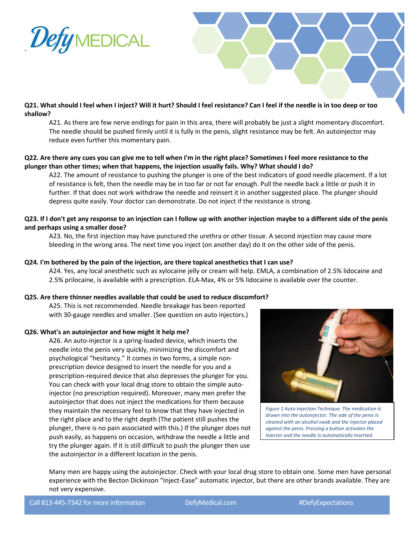

## **Q21. What should I feel when I inject? Will it hurt? Should I feel resistance? Can I feel if the needle is in too deep or too shallow?**

A21. As there are few nerve endings for pain in this area, there will probably be just a slight momentary discomfort. The needle should be pushed firmly until it is fully in the penis, slight resistance may be felt. An autoinjector may reduce even further this momentary pain.

# **Q22. Are there any cues you can give me to tell when I'm in the right place? Sometimes I feel more resistance to the plunger than other times; when that happens, the injection usually fails. Why? What should I do?**

A22. The amount of resistance to pushing the plunger is one of the best indicators of good needle placement. If a lot of resistance is felt, then the needle may be in too far or not far enough. Pull the needle back a little or push it in further. If that does not work withdraw the needle and reinsert it in another suggested place. The plunger should depress quite easily. Your doctor can demonstrate. Do not inject if the resistance is strong.

# **Q23. If I don't get any response to an injection can I follow up with another injection maybe to a different side of the penis and perhaps using a smaller dose?**

A23. No, the first injection may have punctured the urethra or other tissue. A second injection may cause more bleeding in the wrong area. The next time you inject (on another day) do it on the other side of the penis.

# **Q24. I'm bothered by the pain of the injection, are there topical anesthetics that I can use?**

A24. Yes, any local anesthetic such as xylocaine jelly or cream will help. EMLA, a combination of 2.5% lidocaine and 2.5% prilocaine, is available with a prescription. ELA-Max, 4% or 5% lidocaine is available over the counter.

## **Q25. Are there thinner needles available that could be used to reduce discomfort?**

A25. This is not recommended. Needle breakage has been reported with 30-gauge needles and smaller. (See question on auto injectors.)

## **Q26. What's an autoinjector and how might it help me?**

A26. An auto-injector is a spring-loaded device, which inserts the needle into the penis very quickly, minimizing the discomfort and psychological "hesitancy." It comes in two forms, a simple nonprescription device designed to insert the needle for you and a prescription-required device that also depresses the plunger for you. You can check with your local drug store to obtain the simple autoinjector (no prescription required). Moreover, many men prefer the autoinjector that does not inject the medications for them because they maintain the necessary feel to know that they have injected in the right place and to the right depth (The patient still pushes the plunger, there is no pain associated with this.) If the plunger does not push easily, as happens on occasion, withdraw the needle a little and try the plunger again. If it is still difficult to push the plunger then use the autoinjector in a different location in the penis.



*Figure 1 Auto-Injection Technique. The medication Is drawn into the autoinjector. The side of the penis Is cleaned with an alcohol swab and the Injector placed against the penis. Pressing a button activates the Injector and the needle Is automatically Inserted.*

Many men are happy using the autoinjector. Check with your local drug store to obtain one. Some men have personal experience with the Becton Dickinson "Inject-Ease" automatic injector, but there are other brands available. They are not very expensive.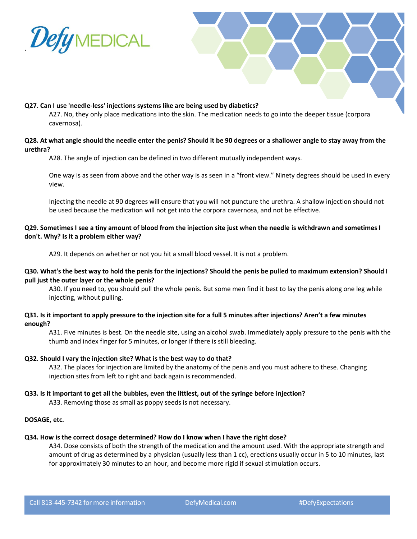



A27. No, they only place medications into the skin. The medication needs to go into the deeper tissue (corpora cavernosa).

## **Q28. At what angle should the needle enter the penis? Should it be 90 degrees or a shallower angle to stay away from the urethra?**

A28. The angle of injection can be defined in two different mutually independent ways.

One way is as seen from above and the other way is as seen in a "front view." Ninety degrees should be used in every view.

Injecting the needle at 90 degrees will ensure that you will not puncture the urethra. A shallow injection should not be used because the medication will not get into the corpora cavernosa, and not be effective.

# **Q29. Sometimes I see a tiny amount of blood from the injection site just when the needle is withdrawn and sometimes I don't. Why? Is it a problem either way?**

A29. It depends on whether or not you hit a small blood vessel. It is not a problem.

## **Q30. What's the best way to hold the penis for the injections? Should the penis be pulled to maximum extension? Should I pull just the outer layer or the whole penis?**

A30. If you need to, you should pull the whole penis. But some men find it best to lay the penis along one leg while injecting, without pulling.

## **Q31. Is it important to apply pressure to the injection site for a full 5 minutes after injections? Aren't a few minutes enough?**

A31. Five minutes is best. On the needle site, using an alcohol swab. Immediately apply pressure to the penis with the thumb and index finger for 5 minutes, or longer if there is still bleeding.

## **Q32. Should I vary the injection site? What is the best way to do that?**

A32. The places for injection are limited by the anatomy of the penis and you must adhere to these. Changing injection sites from left to right and back again is recommended.

## **Q33. Is it important to get all the bubbles, even the littlest, out of the syringe before injection?**

A33. Removing those as small as poppy seeds is not necessary.

## **DOSAGE, etc.**

## **Q34. How is the correct dosage determined? How do I know when I have the right dose?**

A34. Dose consists of both the strength of the medication and the amount used. With the appropriate strength and amount of drug as determined by a physician (usually less than 1 cc), erections usually occur in 5 to 10 minutes, last for approximately 30 minutes to an hour, and become more rigid if sexual stimulation occurs.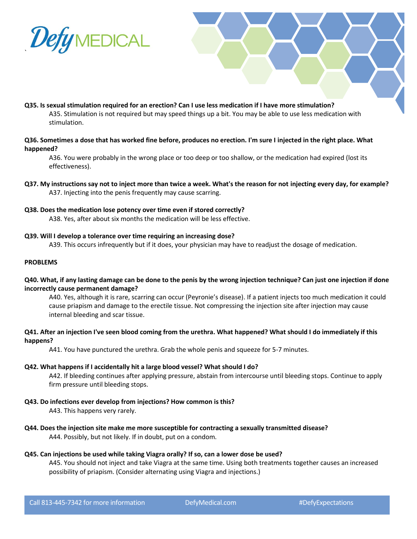

- **Q35. Is sexual stimulation required for an erection? Can I use less medication if I have more stimulation?** A35. Stimulation is not required but may speed things up a bit. You may be able to use less medication with stimulation.
- **Q36. Sometimes a dose that has worked fine before, produces no erection. I'm sure I injected in the right place. What happened?**

A36. You were probably in the wrong place or too deep or too shallow, or the medication had expired (lost its effectiveness).

- **Q37. My instructions say not to inject more than twice a week. What's the reason for not injecting every day, for example?** A37. Injecting into the penis frequently may cause scarring.
- **Q38. Does the medication lose potency over time even if stored correctly?** A38. Yes, after about six months the medication will be less effective.
- **Q39. Will I develop a tolerance over time requiring an increasing dose?**

A39. This occurs infrequently but if it does, your physician may have to readjust the dosage of medication.

### **PROBLEMS**

**Q40. What, if any lasting damage can be done to the penis by the wrong injection technique? Can just one injection if done incorrectly cause permanent damage?**

A40. Yes, although it is rare, scarring can occur (Peyronie's disease). If a patient injects too much medication it could cause priapism and damage to the erectile tissue. Not compressing the injection site after injection may cause internal bleeding and scar tissue.

## **Q41. After an injection I've seen blood coming from the urethra. What happened? What should I do immediately if this happens?**

A41. You have punctured the urethra. Grab the whole penis and squeeze for 5-7 minutes.

### **Q42. What happens if I accidentally hit a large blood vessel? What should I do?**

A42. If bleeding continues after applying pressure, abstain from intercourse until bleeding stops. Continue to apply firm pressure until bleeding stops.

**Q43. Do infections ever develop from injections? How common is this?**

A43. This happens very rarely.

- **Q44. Does the injection site make me more susceptible for contracting a sexually transmitted disease?** A44. Possibly, but not likely. If in doubt, put on a condom.
- **Q45. Can injections be used while taking Viagra orally? If so, can a lower dose be used?**

A45. You should not inject and take Viagra at the same time. Using both treatments together causes an increased possibility of priapism. (Consider alternating using Viagra and injections.)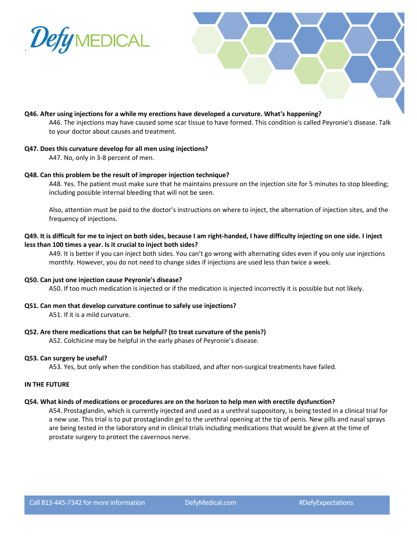



## **Q46. After using injections for a while my erections have developed a curvature. What's happening?**

A46. The injections may have caused some scar tissue to have formed. This condition is called Peyronie's disease. Talk to your doctor about causes and treatment.

#### **Q47. Does this curvature develop for all men using injections?**

A47. No, only in 3-8 percent of men.

#### **Q48. Can this problem be the result of improper injection technique?**

A48. Yes. The patient must make sure that he maintains pressure on the injection site for 5 minutes to stop bleeding; including possible internal bleeding that will not be seen.

Also, attention must be paid to the doctor's instructions on where to inject, the alternation of injection sites, and the frequency of injections.

# **Q49. It is difficult for me to inject on both sides, because I am right-handed, I have difficulty injecting on one side. I inject less than 100 times a year. Is it crucial to inject both sides?**

A49. It is better if you can inject both sides. You can't go wrong with alternating sides even if you only use injections monthly. However, you do not need to change sides if injections are used less than twice a week.

## **Q50. Can just one injection cause Peyronie's disease?**

A50. If too much medication is injected or if the medication is injected incorrectly it is possible but not likely.

**Q51. Can men that develop curvature continue to safely use injections?**

A51. If it is a mild curvature.

## **Q52. Are there medications that can be helpful? (to treat curvature of the penis?)**

A52. Colchicine may be helpful in the early phases of Peyronie's disease.

#### **Q53. Can surgery be useful?**

A53. Yes, but only when the condition has stabilized, and after non-surgical treatments have failed.

#### **IN THE FUTURE**

#### **Q54. What kinds of medications or procedures are on the horizon to help men with erectile dysfunction?**

A54. Prostaglandin, which is currently injected and used as a urethral suppository, is being tested in a clinical trial for a new use. This trial is to put prostaglandin gel to the urethral opening at the tip of penis. New pills and nasal sprays are being tested in the laboratory and in clinical trials including medications that would be given at the time of prostate surgery to protect the cavernous nerve.